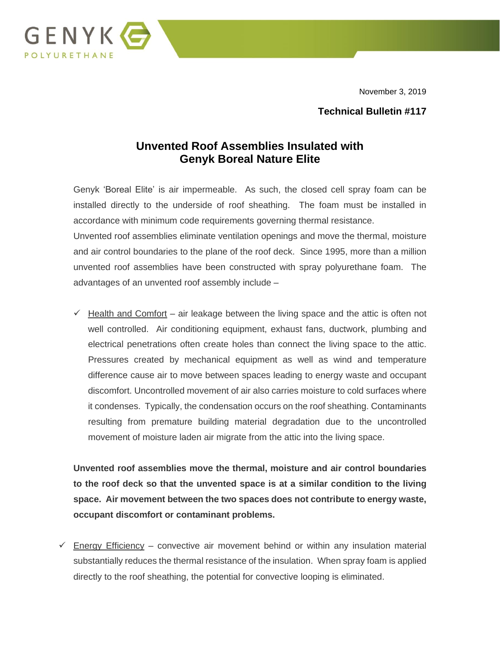November 3, 2019



#### **Technical Bulletin #117**

## **Unvented Roof Assemblies Insulated with Genyk Boreal Nature Elite**

Genyk 'Boreal Elite' is air impermeable. As such, the closed cell spray foam can be installed directly to the underside of roof sheathing. The foam must be installed in accordance with minimum code requirements governing thermal resistance.

Unvented roof assemblies eliminate ventilation openings and move the thermal, moisture and air control boundaries to the plane of the roof deck. Since 1995, more than a million unvented roof assemblies have been constructed with spray polyurethane foam. The advantages of an unvented roof assembly include –

 $\checkmark$  Health and Comfort – air leakage between the living space and the attic is often not well controlled. Air conditioning equipment, exhaust fans, ductwork, plumbing and electrical penetrations often create holes than connect the living space to the attic. Pressures created by mechanical equipment as well as wind and temperature difference cause air to move between spaces leading to energy waste and occupant discomfort. Uncontrolled movement of air also carries moisture to cold surfaces where it condenses. Typically, the condensation occurs on the roof sheathing. Contaminants resulting from premature building material degradation due to the uncontrolled movement of moisture laden air migrate from the attic into the living space.

**Unvented roof assemblies move the thermal, moisture and air control boundaries to the roof deck so that the unvented space is at a similar condition to the living space. Air movement between the two spaces does not contribute to energy waste, occupant discomfort or contaminant problems.**

 $\checkmark$  Energy Efficiency – convective air movement behind or within any insulation material substantially reduces the thermal resistance of the insulation. When spray foam is applied directly to the roof sheathing, the potential for convective looping is eliminated.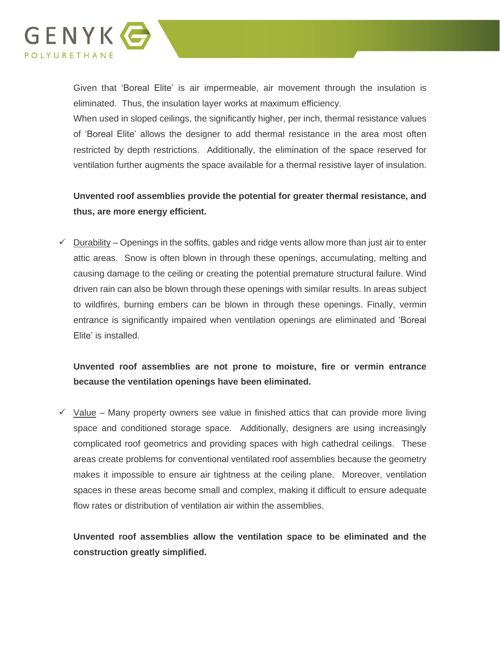

Given that 'Boreal Elite' is air impermeable, air movement through the insulation is eliminated. Thus, the insulation layer works at maximum efficiency.

When used in sloped ceilings, the significantly higher, per inch, thermal resistance values of 'Boreal Elite' allows the designer to add thermal resistance in the area most often restricted by depth restrictions. Additionally, the elimination of the space reserved for ventilation further augments the space available for a thermal resistive layer of insulation.

### **Unvented roof assemblies provide the potential for greater thermal resistance, and thus, are more energy efficient.**

 $\checkmark$  Durability – Openings in the soffits, gables and ridge vents allow more than just air to enter attic areas. Snow is often blown in through these openings, accumulating, melting and causing damage to the ceiling or creating the potential premature structural failure. Wind driven rain can also be blown through these openings with similar results. In areas subject to wildfires, burning embers can be blown in through these openings. Finally, vermin entrance is significantly impaired when ventilation openings are eliminated and 'Boreal Elite' is installed.

## **Unvented roof assemblies are not prone to moisture, fire or vermin entrance because the ventilation openings have been eliminated.**

 $\checkmark$  Value – Many property owners see value in finished attics that can provide more living space and conditioned storage space. Additionally, designers are using increasingly complicated roof geometrics and providing spaces with high cathedral ceilings. These areas create problems for conventional ventilated roof assemblies because the geometry makes it impossible to ensure air tightness at the ceiling plane. Moreover, ventilation spaces in these areas become small and complex, making it difficult to ensure adequate flow rates or distribution of ventilation air within the assemblies.

**Unvented roof assemblies allow the ventilation space to be eliminated and the construction greatly simplified.**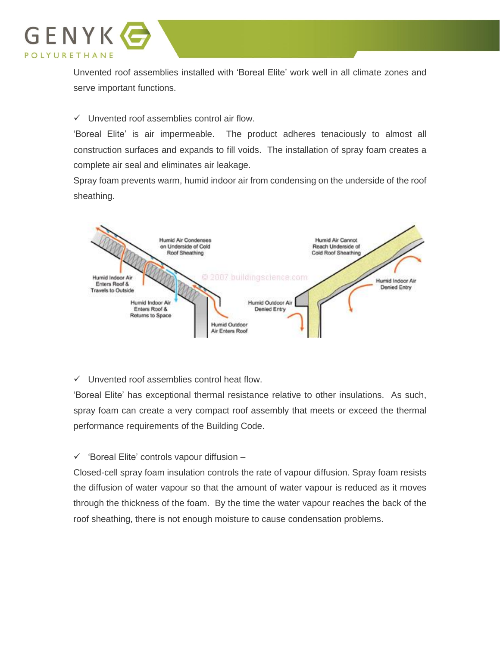

Unvented roof assemblies installed with 'Boreal Elite' work well in all climate zones and serve important functions.

✓ Unvented roof assemblies control air flow.

'Boreal Elite' is air impermeable. The product adheres tenaciously to almost all construction surfaces and expands to fill voids. The installation of spray foam creates a complete air seal and eliminates air leakage.

Spray foam prevents warm, humid indoor air from condensing on the underside of the roof sheathing.



✓ Unvented roof assemblies control heat flow.

'Boreal Elite' has exceptional thermal resistance relative to other insulations. As such, spray foam can create a very compact roof assembly that meets or exceed the thermal performance requirements of the Building Code.

✓ 'Boreal Elite' controls vapour diffusion –

Closed-cell spray foam insulation controls the rate of vapour diffusion. Spray foam resists the diffusion of water vapour so that the amount of water vapour is reduced as it moves through the thickness of the foam. By the time the water vapour reaches the back of the roof sheathing, there is not enough moisture to cause condensation problems.